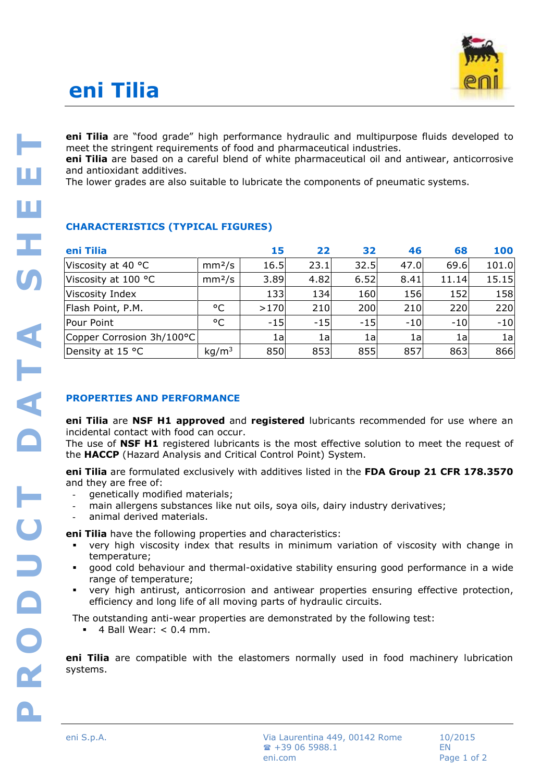# **eni Tilia**



**eni Tilia** are "food grade" high performance hydraulic and multipurpose fluids developed to meet the stringent requirements of food and pharmaceutical industries.

**eni Tilia** are based on a careful blend of white pharmaceutical oil and antiwear, anticorrosive and antioxidant additives.

The lower grades are also suitable to lubricate the components of pneumatic systems.

### **CHARACTERISTICS (TYPICAL FIGURES)**

| eni Tilia                 |                    | 15     | 22    | 32    | 46    | 68    | 100   |
|---------------------------|--------------------|--------|-------|-------|-------|-------|-------|
| Viscosity at 40 °C        | mm <sup>2</sup> /s | 16.5   | 23.1  | 32.5  | 47.0  | 69.6  | 101.0 |
| Viscosity at 100 °C       | mm <sup>2</sup> /s | 3.89   | 4.82  | 6.52  | 8.41  | 11.14 | 15.15 |
| Viscosity Index           |                    | 133    | 134   | 160   | 156   | 152   | 158   |
| Flash Point, P.M.         | °C                 | $>170$ | 210   | 200   | 210   | 220   | 220   |
| Pour Point                | °C                 | $-15$  | $-15$ | $-15$ | $-10$ | $-10$ | $-10$ |
| Copper Corrosion 3h/100°C |                    | 1a     | 1a    | 1a    | 1a    | 1a    | 1a    |
| Density at 15 °C          | kg/m <sup>3</sup>  | 850    | 853   | 855   | 857   | 863   | 866   |

## **PROPERTIES AND PERFORMANCE**

**eni Tilia** are **NSF H1 approved** and **registered** lubricants recommended for use where an incidental contact with food can occur.

The use of **NSF H1** registered lubricants is the most effective solution to meet the request of the **HACCP** (Hazard Analysis and Critical Control Point) System.

**eni Tilia** are formulated exclusively with additives listed in the **FDA Group 21 CFR 178.3570** and they are free of:

- genetically modified materials;
- main allergens substances like nut oils, soya oils, dairy industry derivatives;
- animal derived materials.

**eni Tilia** have the following properties and characteristics:

- very high viscosity index that results in minimum variation of viscosity with change in temperature;
- good cold behaviour and thermal-oxidative stability ensuring good performance in a wide range of temperature;
- very high antirust, anticorrosion and antiwear properties ensuring effective protection, efficiency and long life of all moving parts of hydraulic circuits.

The outstanding anti-wear properties are demonstrated by the following test:

 $\blacksquare$  4 Ball Wear: < 0.4 mm.

**eni Tilia** are compatible with the elastomers normally used in food machinery lubrication systems.